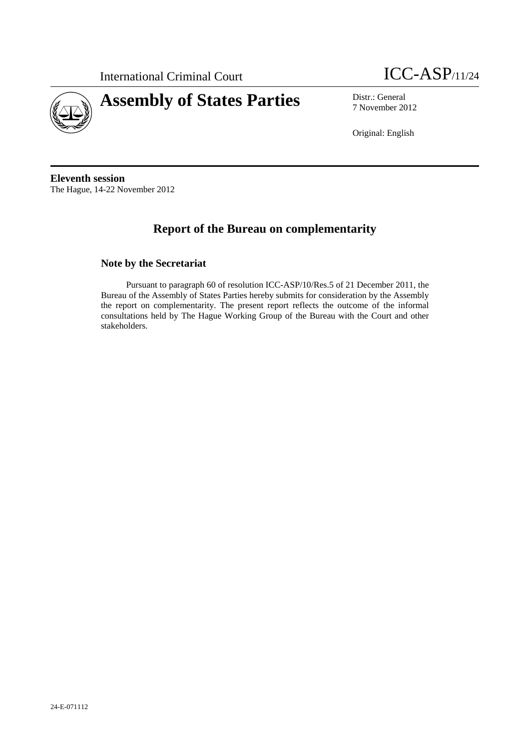

# **Assembly of States Parties** Distr.: General



7 November 2012

Original: English

**Eleventh session**  The Hague, 14-22 November 2012

# **Report of the Bureau on complementarity**

#### **Note by the Secretariat**

Pursuant to paragraph 60 of resolution ICC-ASP/10/Res.5 of 21 December 2011, the Bureau of the Assembly of States Parties hereby submits for consideration by the Assembly the report on complementarity. The present report reflects the outcome of the informal consultations held by The Hague Working Group of the Bureau with the Court and other stakeholders.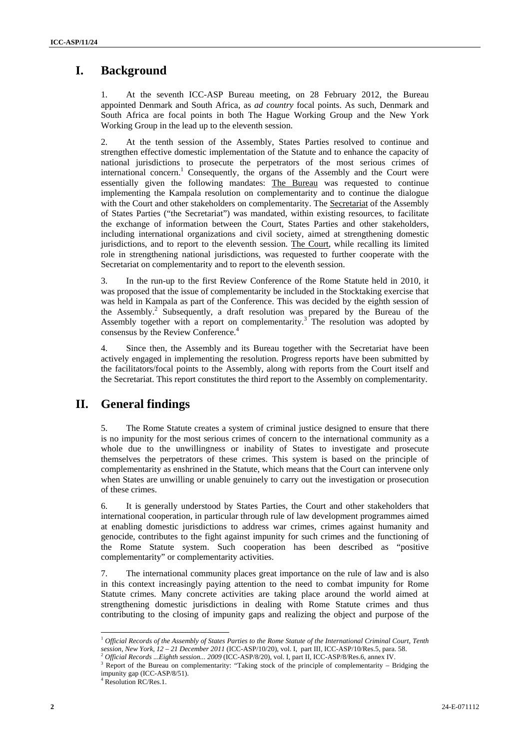## **I. Background**

1. At the seventh ICC-ASP Bureau meeting, on 28 February 2012, the Bureau appointed Denmark and South Africa, as *ad country* focal points. As such, Denmark and South Africa are focal points in both The Hague Working Group and the New York Working Group in the lead up to the eleventh session.

2. At the tenth session of the Assembly, States Parties resolved to continue and strengthen effective domestic implementation of the Statute and to enhance the capacity of national jurisdictions to prosecute the perpetrators of the most serious crimes of international concern.<sup>1</sup> Consequently, the organs of the Assembly and the Court were essentially given the following mandates: The Bureau was requested to continue implementing the Kampala resolution on complementarity and to continue the dialogue with the Court and other stakeholders on complementarity. The Secretariat of the Assembly of States Parties ("the Secretariat") was mandated, within existing resources, to facilitate the exchange of information between the Court, States Parties and other stakeholders, including international organizations and civil society, aimed at strengthening domestic jurisdictions, and to report to the eleventh session. The Court, while recalling its limited role in strengthening national jurisdictions, was requested to further cooperate with the Secretariat on complementarity and to report to the eleventh session.

3. In the run-up to the first Review Conference of the Rome Statute held in 2010, it was proposed that the issue of complementarity be included in the Stocktaking exercise that was held in Kampala as part of the Conference. This was decided by the eighth session of the Assembly.<sup>2</sup> Subsequently, a draft resolution was prepared by the Bureau of the Assembly together with a report on complementarity.<sup>3</sup> The resolution was adopted by consensus by the Review Conference.<sup>4</sup>

4. Since then, the Assembly and its Bureau together with the Secretariat have been actively engaged in implementing the resolution. Progress reports have been submitted by the facilitators/focal points to the Assembly, along with reports from the Court itself and the Secretariat. This report constitutes the third report to the Assembly on complementarity.

## **II. General findings**

5. The Rome Statute creates a system of criminal justice designed to ensure that there is no impunity for the most serious crimes of concern to the international community as a whole due to the unwillingness or inability of States to investigate and prosecute themselves the perpetrators of these crimes. This system is based on the principle of complementarity as enshrined in the Statute, which means that the Court can intervene only when States are unwilling or unable genuinely to carry out the investigation or prosecution of these crimes.

6. It is generally understood by States Parties, the Court and other stakeholders that international cooperation, in particular through rule of law development programmes aimed at enabling domestic jurisdictions to address war crimes, crimes against humanity and genocide, contributes to the fight against impunity for such crimes and the functioning of the Rome Statute system. Such cooperation has been described as "positive complementarity" or complementarity activities.

7. The international community places great importance on the rule of law and is also in this context increasingly paying attention to the need to combat impunity for Rome Statute crimes. Many concrete activities are taking place around the world aimed at strengthening domestic jurisdictions in dealing with Rome Statute crimes and thus contributing to the closing of impunity gaps and realizing the object and purpose of the

<sup>&</sup>lt;sup>1</sup> *Official Records of the Assembly of States Parties to the Rome Statute of the International Criminal Court, Tenth session, New York, 12 – 21 December 2011 (ICC-ASP/10/20), vol. I, part III, ICC-ASP/10/Res.5, para. 58.* 

<sup>&</sup>lt;sup>2</sup> Official Records ... Eighth session... 2009 (ICC-ASP/8/20), vol. I, part II, ICC-ASP/8/Res.6, annex IV.

 $3$  Report of the Bureau on complementarity: "Taking stock of the principle of complementarity – Bridging the impunity gap (ICC-ASP/8/51).

<sup>4</sup> Resolution RC/Res.1.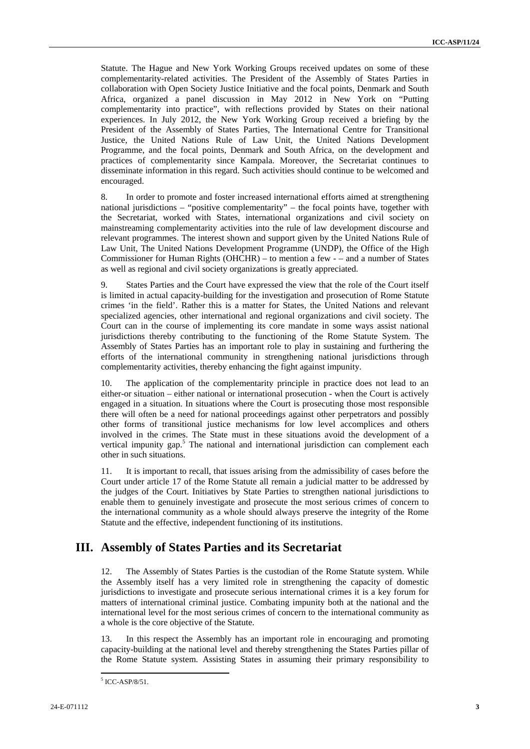Statute. The Hague and New York Working Groups received updates on some of these complementarity-related activities. The President of the Assembly of States Parties in collaboration with Open Society Justice Initiative and the focal points, Denmark and South Africa, organized a panel discussion in May 2012 in New York on "Putting complementarity into practice", with reflections provided by States on their national experiences. In July 2012, the New York Working Group received a briefing by the President of the Assembly of States Parties, The International Centre for Transitional Justice, the United Nations Rule of Law Unit, the United Nations Development Programme, and the focal points, Denmark and South Africa, on the development and practices of complementarity since Kampala. Moreover, the Secretariat continues to disseminate information in this regard. Such activities should continue to be welcomed and encouraged.

8. In order to promote and foster increased international efforts aimed at strengthening national jurisdictions – "positive complementarity" – the focal points have, together with the Secretariat, worked with States, international organizations and civil society on mainstreaming complementarity activities into the rule of law development discourse and relevant programmes. The interest shown and support given by the United Nations Rule of Law Unit, The United Nations Development Programme (UNDP), the Office of the High Commissioner for Human Rights (OHCHR) – to mention a few - – and a number of States as well as regional and civil society organizations is greatly appreciated.

9. States Parties and the Court have expressed the view that the role of the Court itself is limited in actual capacity-building for the investigation and prosecution of Rome Statute crimes 'in the field'. Rather this is a matter for States, the United Nations and relevant specialized agencies, other international and regional organizations and civil society. The Court can in the course of implementing its core mandate in some ways assist national jurisdictions thereby contributing to the functioning of the Rome Statute System. The Assembly of States Parties has an important role to play in sustaining and furthering the efforts of the international community in strengthening national jurisdictions through complementarity activities, thereby enhancing the fight against impunity.

10. The application of the complementarity principle in practice does not lead to an either-or situation – either national or international prosecution - when the Court is actively engaged in a situation. In situations where the Court is prosecuting those most responsible there will often be a need for national proceedings against other perpetrators and possibly other forms of transitional justice mechanisms for low level accomplices and others involved in the crimes. The State must in these situations avoid the development of a vertical impunity gap.<sup>5</sup> The national and international jurisdiction can complement each other in such situations.

11. It is important to recall, that issues arising from the admissibility of cases before the Court under article 17 of the Rome Statute all remain a judicial matter to be addressed by the judges of the Court. Initiatives by State Parties to strengthen national jurisdictions to enable them to genuinely investigate and prosecute the most serious crimes of concern to the international community as a whole should always preserve the integrity of the Rome Statute and the effective, independent functioning of its institutions.

## **III. Assembly of States Parties and its Secretariat**

12. The Assembly of States Parties is the custodian of the Rome Statute system. While the Assembly itself has a very limited role in strengthening the capacity of domestic jurisdictions to investigate and prosecute serious international crimes it is a key forum for matters of international criminal justice. Combating impunity both at the national and the international level for the most serious crimes of concern to the international community as a whole is the core objective of the Statute.

13. In this respect the Assembly has an important role in encouraging and promoting capacity-building at the national level and thereby strengthening the States Parties pillar of the Rome Statute system. Assisting States in assuming their primary responsibility to

 5 ICC-ASP/8/51.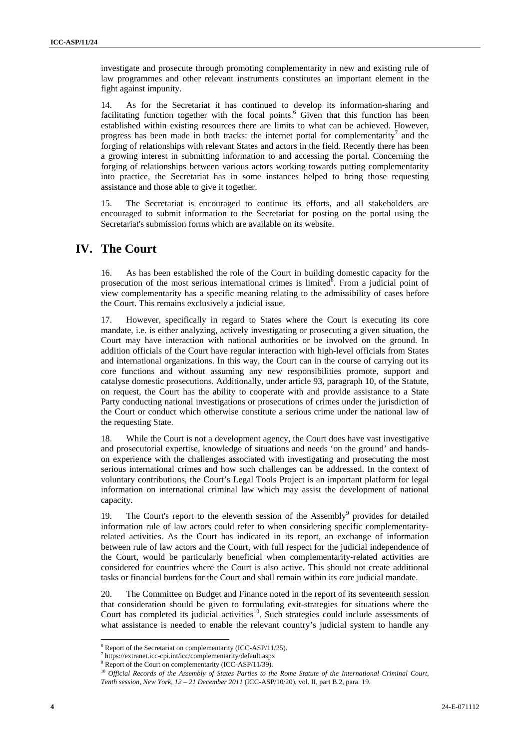investigate and prosecute through promoting complementarity in new and existing rule of law programmes and other relevant instruments constitutes an important element in the fight against impunity.

14. As for the Secretariat it has continued to develop its information-sharing and facilitating function together with the focal points.<sup>6</sup> Given that this function has been established within existing resources there are limits to what can be achieved. However, progress has been made in both tracks: the internet portal for complementarity<sup>7</sup> and the forging of relationships with relevant States and actors in the field. Recently there has been a growing interest in submitting information to and accessing the portal. Concerning the forging of relationships between various actors working towards putting complementarity into practice, the Secretariat has in some instances helped to bring those requesting assistance and those able to give it together.

15. The Secretariat is encouraged to continue its efforts, and all stakeholders are encouraged to submit information to the Secretariat for posting on the portal using the Secretariat's submission forms which are available on its website.

#### **IV. The Court**

16. As has been established the role of the Court in building domestic capacity for the prosecution of the most serious international crimes is limited<sup>8</sup>. From a judicial point of view complementarity has a specific meaning relating to the admissibility of cases before the Court. This remains exclusively a judicial issue.

17. However, specifically in regard to States where the Court is executing its core mandate, i.e. is either analyzing, actively investigating or prosecuting a given situation, the Court may have interaction with national authorities or be involved on the ground. In addition officials of the Court have regular interaction with high-level officials from States and international organizations. In this way, the Court can in the course of carrying out its core functions and without assuming any new responsibilities promote, support and catalyse domestic prosecutions. Additionally, under article 93, paragraph 10, of the Statute, on request, the Court has the ability to cooperate with and provide assistance to a State Party conducting national investigations or prosecutions of crimes under the jurisdiction of the Court or conduct which otherwise constitute a serious crime under the national law of the requesting State.

18. While the Court is not a development agency, the Court does have vast investigative and prosecutorial expertise, knowledge of situations and needs 'on the ground' and handson experience with the challenges associated with investigating and prosecuting the most serious international crimes and how such challenges can be addressed. In the context of voluntary contributions, the Court's Legal Tools Project is an important platform for legal information on international criminal law which may assist the development of national capacity.

19. The Court's report to the eleventh session of the Assembly<sup>9</sup> provides for detailed information rule of law actors could refer to when considering specific complementarityrelated activities. As the Court has indicated in its report, an exchange of information between rule of law actors and the Court, with full respect for the judicial independence of the Court, would be particularly beneficial when complementarity-related activities are considered for countries where the Court is also active. This should not create additional tasks or financial burdens for the Court and shall remain within its core judicial mandate.

20. The Committee on Budget and Finance noted in the report of its seventeenth session that consideration should be given to formulating exit-strategies for situations where the Court has completed its judicial activities<sup>10</sup>. Such strategies could include assessments of what assistance is needed to enable the relevant country's judicial system to handle any

 $\frac{6}{7}$  Report of the Secretariat on complementarity (ICC-ASP/11/25).

https://extranet.icc-cpi.int/icc/complementarity/default.aspx

<sup>&</sup>lt;sup>8</sup> Report of the Court on complementarity (ICC-ASP/11/39).

<sup>&</sup>lt;sup>10</sup> Official Records of the Assembly of States Parties to the Rome Statute of the International Criminal Court, *Tenth session, New York, 12 – 21 December 2011* (ICC-ASP/10/20), vol. II, part B.2, para. 19.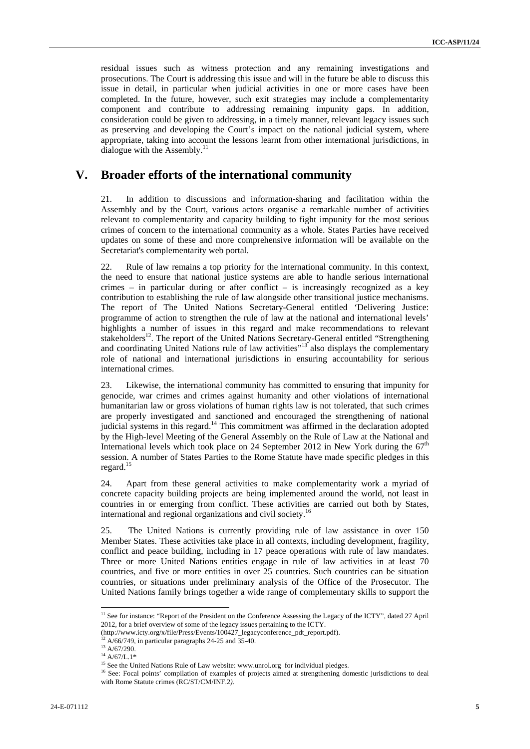residual issues such as witness protection and any remaining investigations and prosecutions. The Court is addressing this issue and will in the future be able to discuss this issue in detail, in particular when judicial activities in one or more cases have been completed. In the future, however, such exit strategies may include a complementarity component and contribute to addressing remaining impunity gaps. In addition, consideration could be given to addressing, in a timely manner, relevant legacy issues such as preserving and developing the Court's impact on the national judicial system, where appropriate, taking into account the lessons learnt from other international jurisdictions, in dialogue with the Assembly.<sup>11</sup>

#### **V. Broader efforts of the international community**

21. In addition to discussions and information-sharing and facilitation within the Assembly and by the Court, various actors organise a remarkable number of activities relevant to complementarity and capacity building to fight impunity for the most serious crimes of concern to the international community as a whole. States Parties have received updates on some of these and more comprehensive information will be available on the Secretariat's complementarity web portal.

22. Rule of law remains a top priority for the international community. In this context, the need to ensure that national justice systems are able to handle serious international crimes – in particular during or after conflict – is increasingly recognized as a key contribution to establishing the rule of law alongside other transitional justice mechanisms. The report of The United Nations Secretary-General entitled 'Delivering Justice: programme of action to strengthen the rule of law at the national and international levels' highlights a number of issues in this regard and make recommendations to relevant stakeholders<sup>12</sup>. The report of the United Nations Secretary-General entitled "Strengthening and coordinating United Nations rule of law activities"<sup>13</sup> also displays the complementary role of national and international jurisdictions in ensuring accountability for serious international crimes.

23. Likewise, the international community has committed to ensuring that impunity for genocide, war crimes and crimes against humanity and other violations of international humanitarian law or gross violations of human rights law is not tolerated, that such crimes are properly investigated and sanctioned and encouraged the strengthening of national judicial systems in this regard.<sup>14</sup> This commitment was affirmed in the declaration adopted by the High-level Meeting of the General Assembly on the Rule of Law at the National and International levels which took place on 24 September 2012 in New York during the  $67<sup>th</sup>$ session. A number of States Parties to the Rome Statute have made specific pledges in this regard.<sup>15</sup>

24. Apart from these general activities to make complementarity work a myriad of concrete capacity building projects are being implemented around the world, not least in countries in or emerging from conflict. These activities are carried out both by States, international and regional organizations and civil society.16

25. The United Nations is currently providing rule of law assistance in over 150 Member States. These activities take place in all contexts, including development, fragility, conflict and peace building, including in 17 peace operations with rule of law mandates. Three or more United Nations entities engage in rule of law activities in at least 70 countries, and five or more entities in over 25 countries. Such countries can be situation countries, or situations under preliminary analysis of the Office of the Prosecutor. The United Nations family brings together a wide range of complementary skills to support the

<sup>&</sup>lt;sup>11</sup> See for instance: "Report of the President on the Conference Assessing the Legacy of the ICTY", dated 27 April 2012, for a brief overview of some of the legacy issues pertaining to the ICTY.

<sup>(</sup>http://www.icty.org/x/file/Press/Events/100427\_legacyconference\_pdt\_report.pdf). <sup>12</sup> A/66/749, in particular paragraphs 24-25 and 35-40. <sup>13</sup> A/67/290.

<sup>&</sup>lt;sup>14</sup> A/67/L.1\*<br><sup>14</sup> A/67/L.1\*<br><sup>15</sup> See the United Nations Rule of Law website: www.unrol.org for individual pledges.

<sup>&</sup>lt;sup>16</sup> See: Focal points' compilation of examples of projects aimed at strengthening domestic jurisdictions to deal with Rome Statute crimes (RC/ST/CM/INF.2*).*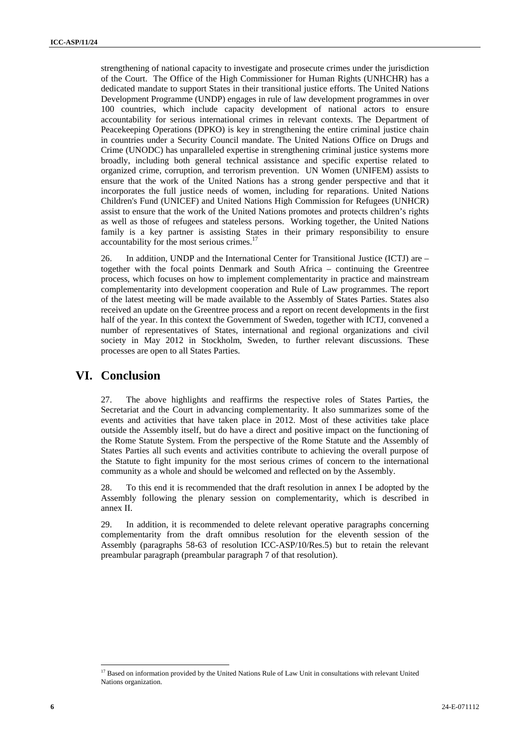strengthening of national capacity to investigate and prosecute crimes under the jurisdiction of the Court. The Office of the High Commissioner for Human Rights (UNHCHR) has a dedicated mandate to support States in their transitional justice efforts. The United Nations Development Programme (UNDP) engages in rule of law development programmes in over 100 countries, which include capacity development of national actors to ensure accountability for serious international crimes in relevant contexts. The Department of Peacekeeping Operations (DPKO) is key in strengthening the entire criminal justice chain in countries under a Security Council mandate. The United Nations Office on Drugs and Crime (UNODC) has unparalleled expertise in strengthening criminal justice systems more broadly, including both general technical assistance and specific expertise related to organized crime, corruption, and terrorism prevention. UN Women (UNIFEM) assists to ensure that the work of the United Nations has a strong gender perspective and that it incorporates the full justice needs of women, including for reparations. United Nations Children's Fund (UNICEF) and United Nations High Commission for Refugees (UNHCR) assist to ensure that the work of the United Nations promotes and protects children's rights as well as those of refugees and stateless persons. Working together, the United Nations family is a key partner is assisting States in their primary responsibility to ensure accountability for the most serious crimes.<sup>17</sup>

26. In addition, UNDP and the International Center for Transitional Justice (ICTJ) are – together with the focal points Denmark and South Africa – continuing the Greentree process, which focuses on how to implement complementarity in practice and mainstream complementarity into development cooperation and Rule of Law programmes. The report of the latest meeting will be made available to the Assembly of States Parties. States also received an update on the Greentree process and a report on recent developments in the first half of the year. In this context the Government of Sweden, together with ICTJ, convened a number of representatives of States, international and regional organizations and civil society in May 2012 in Stockholm, Sweden, to further relevant discussions. These processes are open to all States Parties.

#### **VI. Conclusion**

27. The above highlights and reaffirms the respective roles of States Parties, the Secretariat and the Court in advancing complementarity. It also summarizes some of the events and activities that have taken place in 2012. Most of these activities take place outside the Assembly itself, but do have a direct and positive impact on the functioning of the Rome Statute System. From the perspective of the Rome Statute and the Assembly of States Parties all such events and activities contribute to achieving the overall purpose of the Statute to fight impunity for the most serious crimes of concern to the international community as a whole and should be welcomed and reflected on by the Assembly.

28. To this end it is recommended that the draft resolution in annex I be adopted by the Assembly following the plenary session on complementarity, which is described in annex II.

29. In addition, it is recommended to delete relevant operative paragraphs concerning complementarity from the draft omnibus resolution for the eleventh session of the Assembly (paragraphs 58-63 of resolution ICC-ASP/10/Res.5) but to retain the relevant preambular paragraph (preambular paragraph 7 of that resolution).

<sup>&</sup>lt;sup>17</sup> Based on information provided by the United Nations Rule of Law Unit in consultations with relevant United Nations organization.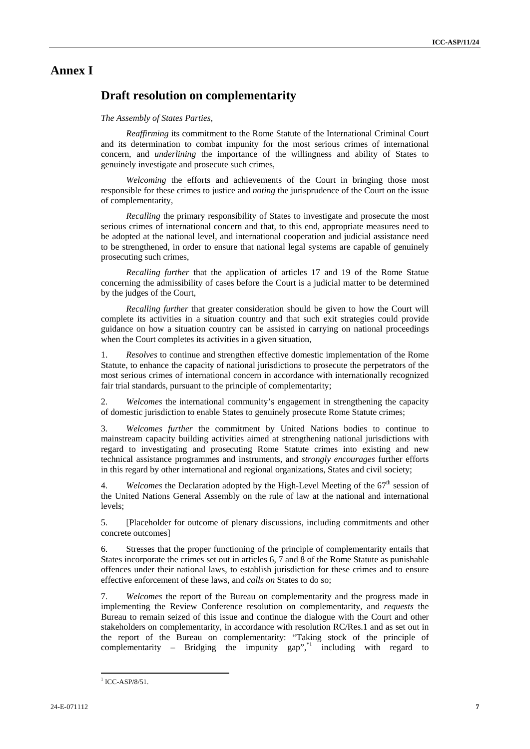#### **Annex I**

### **Draft resolution on complementarity**

#### *The Assembly of States Parties*,

*Reaffirming* its commitment to the Rome Statute of the International Criminal Court and its determination to combat impunity for the most serious crimes of international concern, and *underlining* the importance of the willingness and ability of States to genuinely investigate and prosecute such crimes,

*Welcoming* the efforts and achievements of the Court in bringing those most responsible for these crimes to justice and *noting* the jurisprudence of the Court on the issue of complementarity,

*Recalling* the primary responsibility of States to investigate and prosecute the most serious crimes of international concern and that, to this end, appropriate measures need to be adopted at the national level, and international cooperation and judicial assistance need to be strengthened, in order to ensure that national legal systems are capable of genuinely prosecuting such crimes,

*Recalling further* that the application of articles 17 and 19 of the Rome Statue concerning the admissibility of cases before the Court is a judicial matter to be determined by the judges of the Court,

*Recalling further* that greater consideration should be given to how the Court will complete its activities in a situation country and that such exit strategies could provide guidance on how a situation country can be assisted in carrying on national proceedings when the Court completes its activities in a given situation,

1. *Resolves* to continue and strengthen effective domestic implementation of the Rome Statute, to enhance the capacity of national jurisdictions to prosecute the perpetrators of the most serious crimes of international concern in accordance with internationally recognized fair trial standards, pursuant to the principle of complementarity;

2. *Welcomes* the international community's engagement in strengthening the capacity of domestic jurisdiction to enable States to genuinely prosecute Rome Statute crimes;

3. *Welcomes further* the commitment by United Nations bodies to continue to mainstream capacity building activities aimed at strengthening national jurisdictions with regard to investigating and prosecuting Rome Statute crimes into existing and new technical assistance programmes and instruments, and *strongly encourages* further efforts in this regard by other international and regional organizations, States and civil society;

4. *Welcomes* the Declaration adopted by the High-Level Meeting of the 67<sup>th</sup> session of the United Nations General Assembly on the rule of law at the national and international levels;

5. [Placeholder for outcome of plenary discussions, including commitments and other concrete outcomes]

6. Stresses that the proper functioning of the principle of complementarity entails that States incorporate the crimes set out in articles 6, 7 and 8 of the Rome Statute as punishable offences under their national laws, to establish jurisdiction for these crimes and to ensure effective enforcement of these laws, and *calls on* States to do so;

7. *Welcomes* the report of the Bureau on complementarity and the progress made in implementing the Review Conference resolution on complementarity, and *requests* the Bureau to remain seized of this issue and continue the dialogue with the Court and other stakeholders on complementarity, in accordance with resolution RC/Res.1 and as set out in the report of the Bureau on complementarity: "Taking stock of the principle of complementarity – Bridging the impunity gap", $i$  including with regard to

 $1$  ICC-ASP/8/51.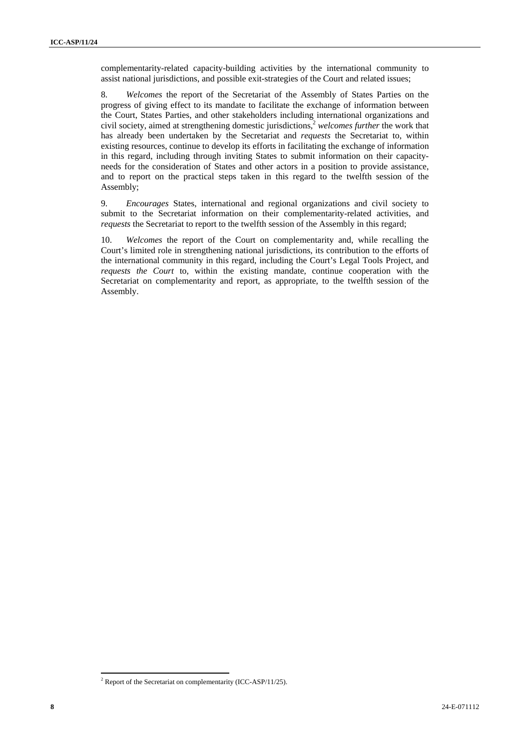complementarity-related capacity-building activities by the international community to assist national jurisdictions, and possible exit-strategies of the Court and related issues;

8. *Welcomes* the report of the Secretariat of the Assembly of States Parties on the progress of giving effect to its mandate to facilitate the exchange of information between the Court, States Parties, and other stakeholders including international organizations and civil society, aimed at strengthening domestic jurisdictions,2 *welcomes further* the work that has already been undertaken by the Secretariat and *requests* the Secretariat to, within existing resources, continue to develop its efforts in facilitating the exchange of information in this regard, including through inviting States to submit information on their capacityneeds for the consideration of States and other actors in a position to provide assistance, and to report on the practical steps taken in this regard to the twelfth session of the Assembly;

9. *Encourages* States, international and regional organizations and civil society to submit to the Secretariat information on their complementarity-related activities, and *requests* the Secretariat to report to the twelfth session of the Assembly in this regard;

10. *Welcomes* the report of the Court on complementarity and, while recalling the Court's limited role in strengthening national jurisdictions, its contribution to the efforts of the international community in this regard, including the Court's Legal Tools Project, and *requests the Court* to, within the existing mandate, continue cooperation with the Secretariat on complementarity and report, as appropriate, to the twelfth session of the Assembly.

 $2^2$  Report of the Secretariat on complementarity (ICC-ASP/11/25).